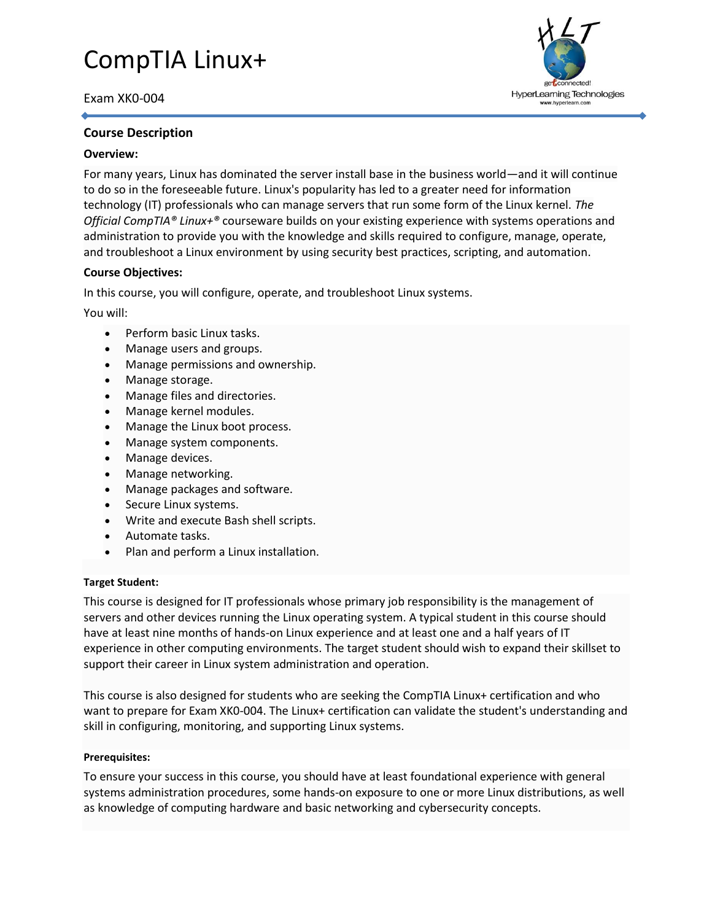# Exam XK0-004



### **Overview:**

For many years, Linux has dominated the server install base in the business world—and it will continue to do so in the foreseeable future. Linux's popularity has led to a greater need for information technology (IT) professionals who can manage servers that run some form of the Linux kernel. *The Official CompTIA® Linux+®* courseware builds on your existing experience with systems operations and administration to provide you with the knowledge and skills required to configure, manage, operate, and troubleshoot a Linux environment by using security best practices, scripting, and automation.

HyperLeaming Technologies www.hyperlearn.con

### **Course Objectives:**

In this course, you will configure, operate, and troubleshoot Linux systems.

You will:

- Perform basic Linux tasks.
- Manage users and groups.
- Manage permissions and ownership.
- Manage storage.
- Manage files and directories.
- Manage kernel modules.
- Manage the Linux boot process.
- Manage system components.
- Manage devices.
- Manage networking.
- Manage packages and software.
- Secure Linux systems.
- Write and execute Bash shell scripts.
- Automate tasks.
- Plan and perform a Linux installation.

### **Target Student:**

This course is designed for IT professionals whose primary job responsibility is the management of servers and other devices running the Linux operating system. A typical student in this course should have at least nine months of hands-on Linux experience and at least one and a half years of IT experience in other computing environments. The target student should wish to expand their skillset to support their career in Linux system administration and operation.

This course is also designed for students who are seeking the CompTIA Linux+ certification and who want to prepare for Exam XK0-004. The Linux+ certification can validate the student's understanding and skill in configuring, monitoring, and supporting Linux systems.

### **Prerequisites:**

To ensure your success in this course, you should have at least foundational experience with general systems administration procedures, some hands-on exposure to one or more Linux distributions, as well as knowledge of computing hardware and basic networking and cybersecurity concepts.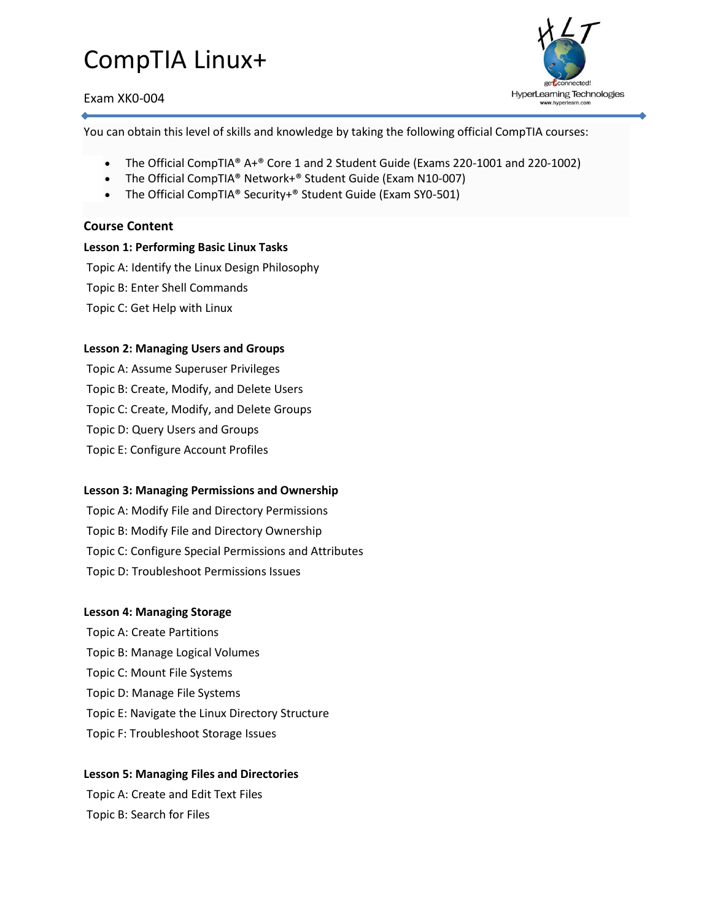# Exam XK0-004



You can obtain this level of skills and knowledge by taking the following official CompTIA courses:

- The Official CompTIA® A+® Core 1 and 2 Student Guide (Exams 220-1001 and 220-1002)
- The Official CompTIA® Network+® Student Guide (Exam N10-007)
- The Official CompTIA® Security+® Student Guide (Exam SY0-501)

## **Course Content**

## **Lesson 1: Performing Basic Linux Tasks**

Topic A: Identify the Linux Design Philosophy Topic B: Enter Shell Commands Topic C: Get Help with Linux

### **Lesson 2: Managing Users and Groups**

Topic A: Assume Superuser Privileges Topic B: Create, Modify, and Delete Users Topic C: Create, Modify, and Delete Groups Topic D: Query Users and Groups Topic E: Configure Account Profiles

### **Lesson 3: Managing Permissions and Ownership**

Topic A: Modify File and Directory Permissions Topic B: Modify File and Directory Ownership Topic C: Configure Special Permissions and Attributes Topic D: Troubleshoot Permissions Issues

### **Lesson 4: Managing Storage**

Topic A: Create Partitions Topic B: Manage Logical Volumes Topic C: Mount File Systems Topic D: Manage File Systems Topic E: Navigate the Linux Directory Structure Topic F: Troubleshoot Storage Issues

### **Lesson 5: Managing Files and Directories**

Topic A: Create and Edit Text Files Topic B: Search for Files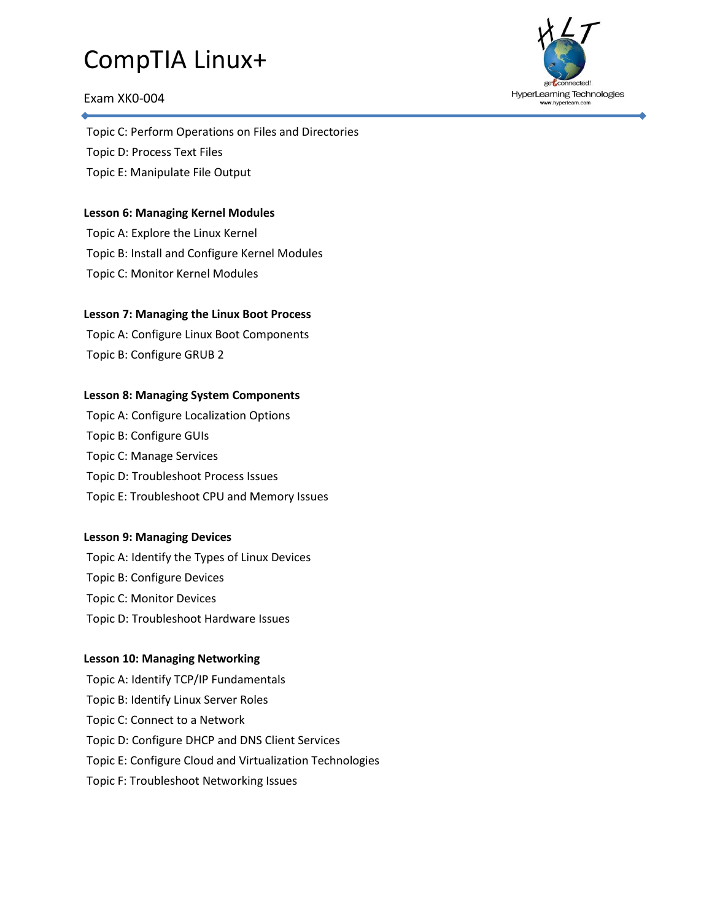# HyperLeaming Technologies www.hyperlearn.com

# Exam XK0-004

Topic C: Perform Operations on Files and Directories Topic D: Process Text Files Topic E: Manipulate File Output

### **Lesson 6: Managing Kernel Modules**

Topic A: Explore the Linux Kernel Topic B: Install and Configure Kernel Modules Topic C: Monitor Kernel Modules

## **Lesson 7: Managing the Linux Boot Process**

Topic A: Configure Linux Boot Components Topic B: Configure GRUB 2

## **Lesson 8: Managing System Components**

Topic A: Configure Localization Options Topic B: Configure GUIs Topic C: Manage Services Topic D: Troubleshoot Process Issues Topic E: Troubleshoot CPU and Memory Issues

### **Lesson 9: Managing Devices**

Topic A: Identify the Types of Linux Devices Topic B: Configure Devices Topic C: Monitor Devices Topic D: Troubleshoot Hardware Issues

### **Lesson 10: Managing Networking**

Topic A: Identify TCP/IP Fundamentals Topic B: Identify Linux Server Roles Topic C: Connect to a Network Topic D: Configure DHCP and DNS Client Services Topic E: Configure Cloud and Virtualization Technologies Topic F: Troubleshoot Networking Issues